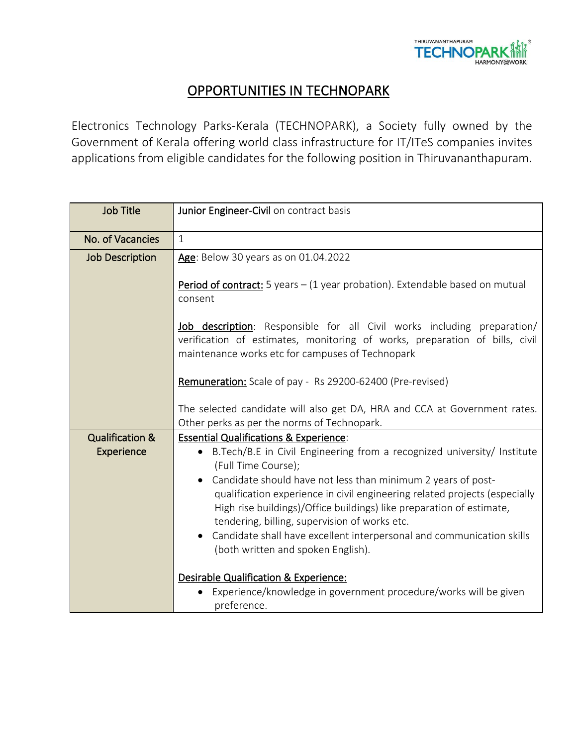

## **OPPORTUNITIES IN TECHNOPARK**

Electronics Technology Parks-Kerala (TECHNOPARK), a Society fully owned by the Government of Kerala offering world class infrastructure for IT/ITeS companies invites applications from eligible candidates for the following position in Thiruvananthapuram.

| <b>Job Title</b>                         | Junior Engineer-Civil on contract basis                                                                                                                                                                                                                                                                                                                                                                                                                                                                                                     |
|------------------------------------------|---------------------------------------------------------------------------------------------------------------------------------------------------------------------------------------------------------------------------------------------------------------------------------------------------------------------------------------------------------------------------------------------------------------------------------------------------------------------------------------------------------------------------------------------|
| No. of Vacancies                         | $\mathbf{1}$                                                                                                                                                                                                                                                                                                                                                                                                                                                                                                                                |
| <b>Job Description</b>                   | Age: Below 30 years as on 01.04.2022                                                                                                                                                                                                                                                                                                                                                                                                                                                                                                        |
|                                          | Period of contract: 5 years - (1 year probation). Extendable based on mutual<br>consent                                                                                                                                                                                                                                                                                                                                                                                                                                                     |
|                                          | Job description: Responsible for all Civil works including preparation/<br>verification of estimates, monitoring of works, preparation of bills, civil<br>maintenance works etc for campuses of Technopark                                                                                                                                                                                                                                                                                                                                  |
|                                          | Remuneration: Scale of pay - Rs 29200-62400 (Pre-revised)                                                                                                                                                                                                                                                                                                                                                                                                                                                                                   |
|                                          | The selected candidate will also get DA, HRA and CCA at Government rates.<br>Other perks as per the norms of Technopark.                                                                                                                                                                                                                                                                                                                                                                                                                    |
| <b>Qualification &amp;</b><br>Experience | <b>Essential Qualifications &amp; Experience:</b><br>• B.Tech/B.E in Civil Engineering from a recognized university/ Institute<br>(Full Time Course);<br>Candidate should have not less than minimum 2 years of post-<br>qualification experience in civil engineering related projects (especially<br>High rise buildings)/Office buildings) like preparation of estimate,<br>tendering, billing, supervision of works etc.<br>Candidate shall have excellent interpersonal and communication skills<br>(both written and spoken English). |
|                                          | Desirable Qualification & Experience:<br>Experience/knowledge in government procedure/works will be given<br>preference.                                                                                                                                                                                                                                                                                                                                                                                                                    |